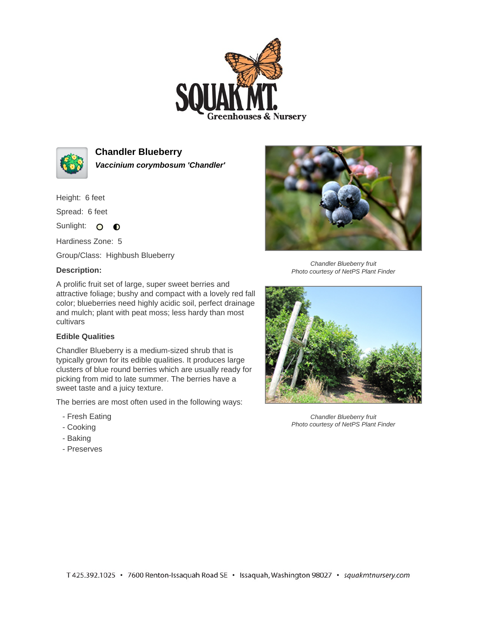



**Chandler Blueberry Vaccinium corymbosum 'Chandler'**

Height: 6 feet

Spread: 6 feet

Sunlight: O **O** 

Hardiness Zone: 5

Group/Class: Highbush Blueberry

## **Description:**

A prolific fruit set of large, super sweet berries and attractive foliage; bushy and compact with a lovely red fall color; blueberries need highly acidic soil, perfect drainage and mulch; plant with peat moss; less hardy than most cultivars

## **Edible Qualities**

Chandler Blueberry is a medium-sized shrub that is typically grown for its edible qualities. It produces large clusters of blue round berries which are usually ready for picking from mid to late summer. The berries have a sweet taste and a juicy texture.

The berries are most often used in the following ways:

- Fresh Eating
- Cooking
- Baking
- Preserves



Chandler Blueberry fruit Photo courtesy of NetPS Plant Finder



Chandler Blueberry fruit Photo courtesy of NetPS Plant Finder